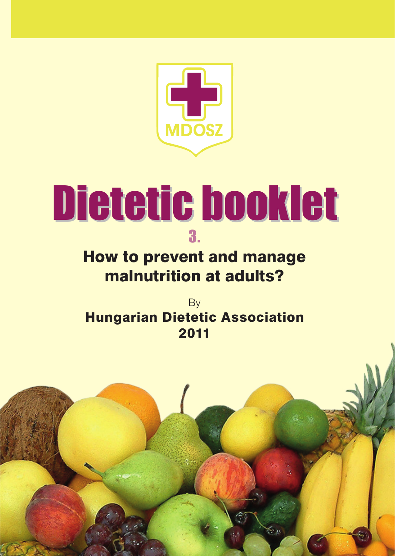

# **Dietetic booklet** 3.

## How to prevent and manage malnutrition at adults?

By Hungarian Dietetic Association 2011

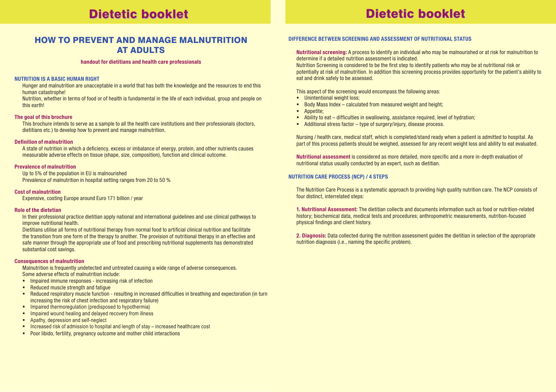## Dietetic booklet Dietetic booklet Dietetic booklet Dietetic booklet

### HOW TO PREVENT AND MANAGE MALNUTRITION AT ADULTS

### **handout for dietitians and health care professionals**

### **Nutrition is a basic human right**

Hunger and malnutrition are unacceptable in a world that has both the knowledge and the resources to end this human catastrophe!

Nutrition, whether in terms of food or of health is fundamental in the life of each individual, group and people on this earth!

### **The goal of this brochure**

This brochure intends to serve as a sample to all the health care institutions and their professionals (doctors, dietitians etc.) to develop how to prevent and manage malnutrition.

### **Definition of malnutrition**

A state of nutrition in which a deficiency, excess or imbalance of energy, protein, and other nutrients causes measurable adverse effects on tissue (shape, size, composition), function and clinical outcome.

### **Prevalence of malnutrition**

Up to 5% of the population in EU is malnourished Prevalence of malnutrition in hospital setting ranges from 20 to 50 %

### **Cost of malnutrition**

Expensive, costing Europe around Euro 171 billion / year

### **Role of the dietetian**

In their professional practice dietitian apply national and international guidelines and use clinical pathways to improve nutritional health.

Dietitians utilise all forms of nutritional therapy from normal food to artificial clinical nutrition and facilitate the transition from one form of the therapy to another. The provision of nutritional therapy in an effective and safe manner through the appropriate use of food and prescribing nutritional supplements has demonstrated substantial cost savings.

### **Consequences of malnutrition**

Malnutrition is frequently undetected and untreated causing a wide range of adverse consequences. Some adverse effects of malnutrition include:

- **IMPA Impaired immune responses increasing risk of infection**
- Reduced muscle strength and fatigue
- Reduced respiratory muscle function resulting in increased difficulties in breathing and expectoration (in turn increasing the risk of chest infection and respiratory failure)
- **E** Impaired thermoregulation (predisposed to hypothermia)
- **IMPA IMPAIRED WOULD HEALTH IMPAIRED** Impaired wound healing and delayed recovery from illness
- **Apathy, depression and self-neglect**
- Increased risk of admission to hospital and length of stay increased healthcare cost
- **Poor libido, fertility, pregnancy outcome and mother child interactions**

### **DIFFERENCE BETWEEN SCREENING AND ASSESSMENT OF NUTRITIONAL STATUS**

**Nutritional screening:** A process to identify an individual who may be malnourished or at risk for malnutrition to determine if a detailed nutrition assessment is indicated.

Nutrition Screening is considered to be the first step to identify patients who may be at nutritional risk or potentially at risk of malnutrition. In addition this screening process provides opportunity for the patient's ability to eat and drink safely to be assessed.

This aspect of the screening would encompass the following areas:

- **·** Unintentional weight loss:
- Body Mass Index calculated from measured weight and height;
- **A**nnetite:
- Ability to eat difficulties in swallowing, assistance required, level of hydration;
- Additional stress factor type of surgery/injury, disease process.

Nursing / health care, medical staff, which is completed/stand ready when a patient is admitted to hospital. As part of this process patients should be weighed, assessed for any recent weight loss and ability to eat evaluated.

**Nutritional assessment** is considered as more detailed, more specific and a more in-depth evaluation of nutritional status usually conducted by an expert, such as dietitian.

### **NUTRITION CARE PROCESS (NCP) / 4 STEPS**

The Nutrition Care Process is a systematic approach to providing high quality nutrition care. The NCP consists of four distinct, interrelated steps:

**1. Nutritional Assessment:** The dietitian collects and documents information such as food or nutrition-related history; biochemical data, medical tests and procedures; anthropometric measurements, nutrition-focused physical findings and client history.

**2. Diagnosis:** Data collected during the nutrition assessment guides the dietitian in selection of the appropriate nutrition diagnosis (i.e., naming the specific problem).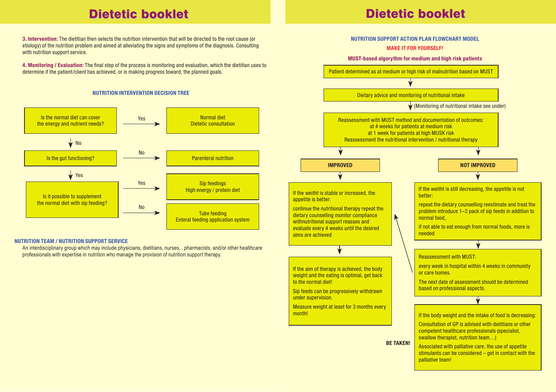### Dietetic booklet Dietetic booklet Dietetic booklet Dietetic booklet

**3. Intervention:** The dietitian then selects the nutrition intervention that will be directed to the root cause (or etiology) of the nutrition problem and aimed at alleviating the signs and symptoms of the diagnosis. Consulting with nutrition support service

**4. Monitoring / Evaluation:** The final step of the process is monitoring and evaluation, which the dietitian uses to determine if the patient/client has achieved, or is making progress toward, the planned goals.

### **NUTRITION INTERVENTION DECISION TREE**



### **NUTRITION TEAM / Nutrition Support Service**

An interdisciplinary group which may include physicians, dietitians, nurses, , pharmacists, and/or other healthcare professionals with expertise in nutrition who manage the provision of nutrition support therapy.

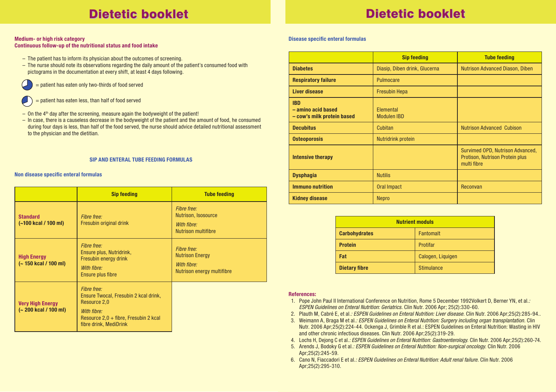## Dietetic booklet Dietetic booklet Dietetic booklet Dietetic booklet

### **Medium- or high risk category Continuous follow-up of the nutritional status and food intake**

- The patient has to inform its physician about the outcomes of screening.
- The nurse should note its observations regarding the daily amount of the patient's consumed food with pictograms in the documentation at every shift, at least 4 days following.
- = patient has eaten only two-thirds of food served
- = patient has eaten less, than half of food served
- $-$  On the  $4<sup>th</sup>$  day after the screening, measure again the bodyweight of the patient!
- In case, there is a causeless decrease in the bodyweight of the patient and the amount of food, he consumed during four days is less, than half of the food served, the nurse should advice detailed nutritional assessment to the physician and the dietitian.

### **SIP AND ENTERAL TUBE FEEDING FORMULAS**

### **Non disease specific enteral formulas**

|                                                 | <b>Sip feeding</b>                                                                                                                                       | <b>Tube feeding</b>                                                                |
|-------------------------------------------------|----------------------------------------------------------------------------------------------------------------------------------------------------------|------------------------------------------------------------------------------------|
| <b>Standard</b><br>(~100 kcal / 100 ml)         | Fibre free:<br>Fresubin original drink                                                                                                                   | Fibre free:<br>Nutrison, Isosource<br>With fibre:<br>Nutrison multifibre           |
| <b>High Energy</b><br>(~150 kcal / 100 ml)      | Fibre free:<br>Ensure plus, Nutridrink,<br>Fresubin energy drink<br>With fibre:<br>Ensure plus fibre                                                     | Fibre free:<br><b>Nutrison Energy</b><br>With fibre:<br>Nutrison energy multifibre |
| <b>Very High Energy</b><br>(~200 kcal / 100 ml) | Fibre free:<br>Ensure Twocal, Fresubin 2 kcal drink,<br>Resource 2.0<br>With fibre:<br>Resource $2.0 +$ fibre, Fresubin 2 kcal<br>fibre drink, MediDrink |                                                                                    |

### **Disease specific enteral formulas**

|                                                                | <b>Sip feeding</b>              | <b>Tube feeding</b>                                                                |
|----------------------------------------------------------------|---------------------------------|------------------------------------------------------------------------------------|
| <b>Diabetes</b>                                                | Diasip, Diben drink, Glucerna   | <b>Nutrison Advanced Diason, Diben</b>                                             |
| <b>Respiratory failure</b>                                     | Pulmocare                       |                                                                                    |
| <b>Liver disease</b>                                           | <b>Fresubin Hepa</b>            |                                                                                    |
| <b>IBD</b><br>- amino acid based<br>- cow's milk protein based | Elemental<br><b>Modulen IBD</b> |                                                                                    |
| <b>Decubitus</b>                                               | Cubitan                         | <b>Nutrison Advanced Cubison</b>                                                   |
| <b>Osteoporosis</b>                                            | <b>Nutridrink protein</b>       |                                                                                    |
| <b>Intensive therapy</b>                                       |                                 | Survimed OPD, Nutrison Advanced,<br>Protison, Nutrison Protein plus<br>multi fibre |
| <b>Dysphagia</b>                                               | <b>Nutilis</b>                  |                                                                                    |
| <b>Immuno nutrition</b>                                        | <b>Oral Impact</b>              | Reconvan                                                                           |
| <b>Kidney disease</b>                                          | Nepro                           |                                                                                    |

| <b>Nutrient moduls</b> |                   |  |
|------------------------|-------------------|--|
| <b>Carbohydrates</b>   | <b>Fantomalt</b>  |  |
| <b>Protein</b>         | Protifar          |  |
| Fat                    | Calogen, Liquigen |  |
| <b>Dietary fibre</b>   | <b>Stimulance</b> |  |

### **References:**

- 1. Pope John Paul II International Conference on Nutrition, Rome 5 December 1992Volkert D, Berner YN, et al.*: ESPEN Guidelines on Enteral Nutrition: Geriatrics*. Clin Nutr. 2006 Apr; 25(2):330-60.
- 2. Plauth M, Cabré E, et al.*: ESPEN Guidelines on Enteral Nutrition: Liver disease*. Clin Nutr. 2006 Apr;25(2):285-94..
- 3. Weimann A, Braga M et al.*: ESPEN Guidelines on Enteral Nutrition: Surgery including organ transplantation*. Clin Nutr. 2006 Apr;25(2):224-44. Ockenga J, Grimble R et al.: ESPEN Guidelines on Enteral Nutrition: Wasting in HIV and other chronic infectious diseases. Clin Nutr. 2006 Apr;25(2):319-29.
- 4. Lochs H, Dejong C et al.*: ESPEN Guidelines on Enteral Nutrition: Gastroenterology*. Clin Nutr. 2006 Apr;25(2):260-74.
- 5. Arends J, Bodoky G et al.*: ESPEN Guidelines on Enteral Nutrition: Non-surgical oncology*. Clin Nutr. 2006 Apr;25(2):245-59.
- 6. Cano N, Fiaccadori E et al.*: ESPEN Guidelines on Enteral Nutrition: Adult renal failure*. Clin Nutr. 2006 Apr;25(2):295-310.